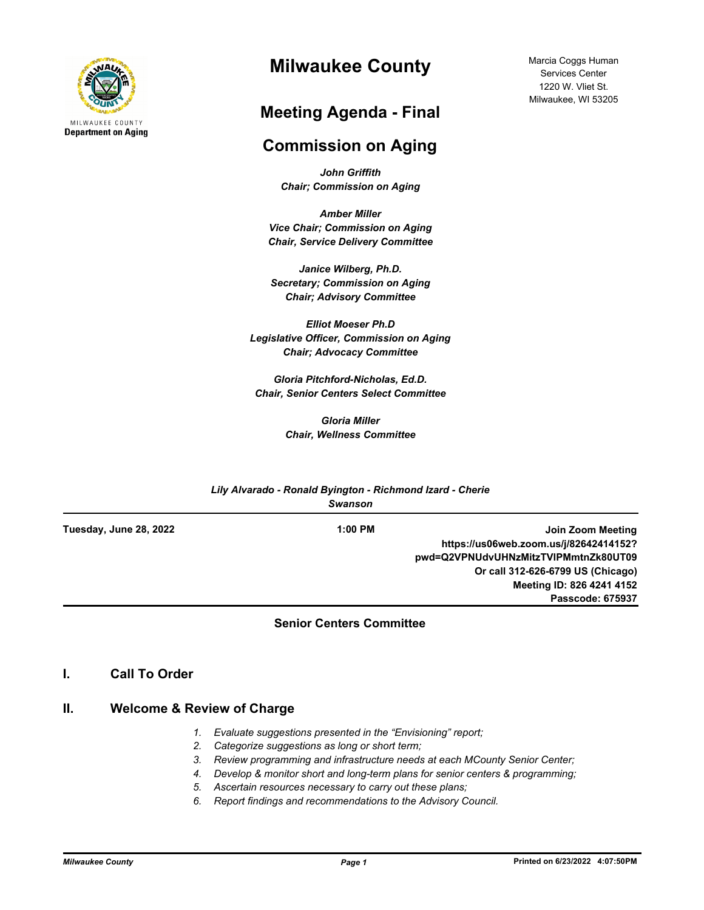

# **Milwaukee County**

# **Meeting Agenda - Final**

# **Commission on Aging**

*John Griffith Chair; Commission on Aging*

*Amber Miller Vice Chair; Commission on Aging Chair, Service Delivery Committee*

*Janice Wilberg, Ph.D. Secretary; Commission on Aging Chair; Advisory Committee*

*Elliot Moeser Ph.D Legislative Officer, Commission on Aging Chair; Advocacy Committee* 

*Gloria Pitchford-Nicholas, Ed.D. Chair, Senior Centers Select Committee*

> *Gloria Miller Chair, Wellness Committee*

|                        | Lily Alvarado - Ronald Byington - Richmond Izard - Cherie<br><b>Swanson</b> |                                        |
|------------------------|-----------------------------------------------------------------------------|----------------------------------------|
| Tuesday, June 28, 2022 | $1:00$ PM                                                                   | Join Zoom Meeting                      |
|                        |                                                                             | https://us06web.zoom.us/j/82642414152? |
|                        |                                                                             | pwd=Q2VPNUdvUHNzMitzTVIPMmtnZk80UT09   |
|                        |                                                                             | Or call 312-626-6799 US (Chicago)      |
|                        |                                                                             | Meeting ID: 826 4241 4152              |
|                        |                                                                             | Passcode: 675937                       |

### **Senior Centers Committee**

### **I. Call To Order**

#### **II. Welcome & Review of Charge**

- *1. Evaluate suggestions presented in the "Envisioning" report;*
- *2. Categorize suggestions as long or short term;*
- *3. Review programming and infrastructure needs at each MCounty Senior Center;*
- *4. Develop & monitor short and long-term plans for senior centers & programming;*
- *5. Ascertain resources necessary to carry out these plans;*
- *6. Report findings and recommendations to the Advisory Council.*

Marcia Coggs Human Services Center 1220 W. Vliet St. Milwaukee, WI 53205